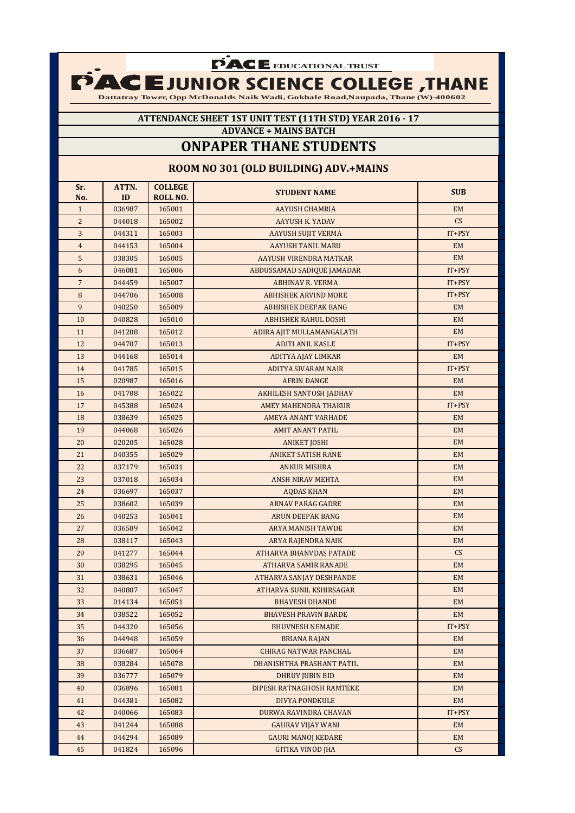**FACE** EDUCATIONAL TRUST

**Dattatray Tower, Opp McDonalds Naik Wadi, Gokhale Road,Naupada, Thane (W)-400602** 

### **ATTENDANCE SHEET 1ST UNIT TEST (11TH STD) YEAR 2016 - 17 ADVANCE + MAINS BATCH**

# **ONPAPER THANE STUDENTS**

### **ROOM NO 301 (OLD BUILDING) ADV.+MAINS**

| Sr.            | ATTN.  | <b>COLLEGE</b>  | <b>STUDENT NAME</b>            | <b>SUB</b> |
|----------------|--------|-----------------|--------------------------------|------------|
| No.            | ID     | <b>ROLL NO.</b> |                                |            |
| $\mathbf{1}$   | 036987 | 165001          | <b>AAYUSH CHAMRIA</b>          | <b>EM</b>  |
| $\overline{c}$ | 044018 | 165002          | <b>AAYUSH K. YADAV</b>         | CS         |
| 3              | 044311 | 165003          | <b>AAYUSH SUJIT VERMA</b>      | IT+PSY     |
| $\overline{4}$ | 044153 | 165004          | <b>AAYUSH TANIL MARU</b>       | <b>EM</b>  |
| 5              | 038305 | 165005          | AAYUSH VIRENDRA MATKAR         | <b>EM</b>  |
| 6              | 046081 | 165006          | ABDUSSAMAD SADIQUE JAMADAR     | IT+PSY     |
| $\overline{7}$ | 044459 | 165007          | <b>ABHINAV R. VERMA</b>        | IT+PSY     |
| $\, 8$         | 044706 | 165008          | <b>ABHISHEK ARVIND MORE</b>    | IT+PSY     |
| 9              | 040250 | 165009          | <b>ABHISHEK DEEPAK BANG</b>    | EM         |
| 10             | 040828 | 165010          | <b>ABHISHEK RAHUL DOSHI</b>    | <b>EM</b>  |
| 11             | 041208 | 165012          | ADIRA AJIT MULLAMANGALATH      | EM         |
| 12             | 044707 | 165013          | <b>ADITI ANIL KASLE</b>        | IT+PSY     |
| 13             | 044168 | 165014          | ADITYA AJAY LIMKAR             | <b>EM</b>  |
| 14             | 041785 | 165015          | <b>ADITYA SIVARAM NAIR</b>     | IT+PSY     |
| 15             | 020987 | 165016          | <b>AFRIN DANGE</b>             | EM         |
| 16             | 041708 | 165022          | <b>AKHILESH SANTOSH JADHAV</b> | <b>EM</b>  |
| 17             | 045388 | 165024          | AMEY MAHENDRA THAKUR           | $IT+PSY$   |
| 18             | 038639 | 165025          | <b>AMEYA ANANT VARHADE</b>     | <b>EM</b>  |
| 19             | 044068 | 165026          | <b>AMIT ANANT PATIL</b>        | <b>EM</b>  |
| 20             | 020205 | 165028          | <b>ANIKET JOSHI</b>            | <b>EM</b>  |
| 21             | 040355 | 165029          | <b>ANIKET SATISH RANE</b>      | <b>EM</b>  |
| 22             | 037179 | 165031          | <b>ANKUR MISHRA</b>            | EM         |
| 23             | 037018 | 165034          | <b>ANSH NIRAV MEHTA</b>        | <b>EM</b>  |
| 24             | 036697 | 165037          | <b>AQDAS KHAN</b>              | <b>EM</b>  |
| 25             | 038602 | 165039          | <b>ARNAV PARAG GADRE</b>       | <b>EM</b>  |
| 26             | 040253 | 165041          | <b>ARUN DEEPAK BANG</b>        | <b>EM</b>  |
| 27             | 036589 | 165042          | <b>ARYA MANISH TAWDE</b>       | <b>EM</b>  |
| 28             | 038117 | 165043          | ARYA RAJENDRA NAIK             | <b>EM</b>  |
| 29             | 041277 | 165044          | ATHARVA BHANVDAS PATADE        | CS         |
| 30             | 038295 | 165045          | <b>ATHARVA SAMIR RANADE</b>    | <b>EM</b>  |
| 31             | 038631 | 165046          | ATHARVA SANJAY DESHPANDE       | <b>EM</b>  |
| 32             | 040807 | 165047          | ATHARVA SUNIL KSHIRSAGAR       | <b>EM</b>  |
| 33             | 014134 | 165051          | <b>BHAVESH DHANDE</b>          | <b>EM</b>  |
| 34             | 038522 | 165052          | <b>BHAVESH PRAVIN BARDE</b>    | <b>EM</b>  |
| 35             | 044320 | 165056          | <b>BHUVNESH NEMADE</b>         | $IT+PSY$   |
| 36             | 044948 | 165059          | <b>BRIANA RAJAN</b>            | EM         |
| 37             | 036687 | 165064          | CHIRAG NATWAR PANCHAL          | EM         |
| 38             | 038284 | 165078          | DHANISHTHA PRASHANT PATIL      | EM         |
| 39             | 036777 | 165079          | <b>DHRUV JUBIN BID</b>         | EM         |
| 40             | 036896 | 165081          | DIPESH RATNAGHOSH RAMTEKE      | EM         |
| 41             | 044381 | 165082          | DIVYA PONDKULE                 | EM         |
| 42             | 040066 | 165083          | DURWA RAVINDRA CHAVAN          | $IT+PSY$   |
| 43             | 041244 | 165088          | <b>GAURAV VIJAY WANI</b>       | EM         |
| 44             | 044294 | 165089          | <b>GAURI MANOJ KEDARE</b>      | EM         |
| 45             | 041824 | 165096          | <b>GITIKA VINOD JHA</b>        | CS         |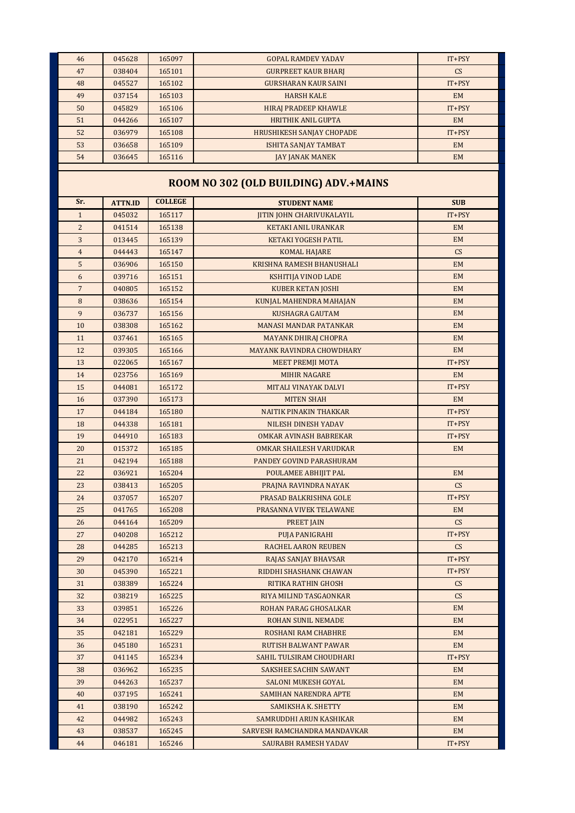| 46             | 045628         | 165097         | <b>GOPAL RAMDEV YADAV</b>             | $IT+PSY$                 |
|----------------|----------------|----------------|---------------------------------------|--------------------------|
| 47             | 038404         | 165101         | <b>GURPREET KAUR BHARJ</b>            | CS                       |
| 48             | 045527         | 165102         | <b>GURSHARAN KAUR SAINI</b>           | IT+PSY                   |
| 49             | 037154         | 165103         | <b>HARSH KALE</b>                     | <b>EM</b>                |
| 50             | 045829         | 165106         | <b>HIRAJ PRADEEP KHAWLE</b>           | IT+PSY                   |
| 51             | 044266         | 165107         | <b>HRITHIK ANIL GUPTA</b>             | <b>EM</b>                |
| 52             | 036979         | 165108         | <b>HRUSHIKESH SANJAY CHOPADE</b>      | $IT+PSY$                 |
| 53             | 036658         | 165109         | <b>ISHITA SANJAY TAMBAT</b>           | <b>EM</b>                |
| 54             | 036645         | 165116         | JAY JANAK MANEK                       | <b>EM</b>                |
|                |                |                |                                       |                          |
|                |                |                | ROOM NO 302 (OLD BUILDING) ADV.+MAINS |                          |
| Sr.            | <b>ATTN.ID</b> | <b>COLLEGE</b> | <b>STUDENT NAME</b>                   | <b>SUB</b>               |
| $\mathbf{1}$   | 045032         | 165117         | <b>JITIN JOHN CHARIVUKALAYIL</b>      | $IT+PSY$                 |
| $\overline{2}$ | 041514         | 165138         | <b>KETAKI ANIL URANKAR</b>            | <b>EM</b>                |
| 3              | 013445         | 165139         | <b>KETAKI YOGESH PATIL</b>            | <b>EM</b>                |
| $\overline{4}$ | 044443         | 165147         | <b>KOMAL HAJARE</b>                   | CS                       |
| 5              | 036906         | 165150         | KRISHNA RAMESH BHANUSHALI             | EM                       |
| 6              | 039716         | 165151         | KSHITIJA VINOD LADE                   | <b>EM</b>                |
| $\overline{7}$ | 040805         | 165152         | <b>KUBER KETAN JOSHI</b>              | <b>EM</b>                |
| 8              | 038636         | 165154         | KUNJAL MAHENDRA MAHAJAN               | <b>EM</b>                |
| 9              | 036737         | 165156         | <b>KUSHAGRA GAUTAM</b>                | <b>EM</b>                |
| 10             | 038308         | 165162         | <b>MANASI MANDAR PATANKAR</b>         | <b>EM</b>                |
| 11             | 037461         | 165165         | <b>MAYANK DHIRAJ CHOPRA</b>           | <b>EM</b>                |
| 12             | 039305         | 165166         | <b>MAYANK RAVINDRA CHOWDHARY</b>      | <b>EM</b>                |
| 13             | 022065         | 165167         | <b>MEET PREMJI MOTA</b>               | $IT+PSY$                 |
| 14             | 023756         | 165169         | <b>MIHIR NAGARE</b>                   | <b>EM</b>                |
| 15             | 044081         | 165172         | MITALI VINAYAK DALVI                  | $IT+PSY$                 |
| 16             | 037390         | 165173         | <b>MITEN SHAH</b>                     | EM                       |
| 17             | 044184         | 165180         | NAITIK PINAKIN THAKKAR                | $IT+PSY$                 |
| 18             | 044338         | 165181         | NILESH DINESH YADAV                   | $IT+PSY$                 |
| 19             | 044910         | 165183         | <b>OMKAR AVINASH BABREKAR</b>         | $IT+PSY$                 |
| 20             | 015372         | 165185         | OMKAR SHAILESH VARUDKAR               | <b>EM</b>                |
| 21             | 042194         | 165188         | PANDEY GOVIND PARASHURAM              |                          |
| 22             | 036921         | 165204         | POULAMEE ABHIJIT PAL                  | <b>EM</b>                |
| 23             | 038413         | 165205         | PRAJNA RAVINDRA NAYAK                 | CS                       |
| 24             | 037057         | 165207         | PRASAD BALKRISHNA GOLE                | $IT+PSY$                 |
| 25             | 041765         | 165208         | PRASANNA VIVEK TELAWANE               | EM                       |
| 26             | 044164         | 165209         | <b>PREET JAIN</b>                     | CS                       |
| 27             | 040208         | 165212         | PUJA PANIGRAHI                        | $IT+PSY$                 |
| 28             | 044285         | 165213         | <b>RACHEL AARON REUBEN</b>            | $\mathsf{CS}\phantom{0}$ |
| 29             | 042170         | 165214         | RAJAS SANJAY BHAVSAR                  | $IT+PSY$                 |
| 30             | 045390         | 165221         | RIDDHI SHASHANK CHAWAN                | $IT+PSY$                 |
| 31             | 038389         | 165224         | RITIKA RATHIN GHOSH                   | $\mathsf{CS}\phantom{0}$ |
| 32             | 038219         | 165225         | RIYA MILIND TASGAONKAR                | CS                       |
| 33             | 039851         | 165226         | ROHAN PARAG GHOSALKAR                 | EM                       |
| 34             | 022951         | 165227         | ROHAN SUNIL NEMADE                    | <b>EM</b>                |
| 35             | 042181         | 165229         | ROSHANI RAM CHABHRE                   | <b>EM</b>                |
| 36             | 045180         | 165231         | <b>RUTISH BALWANT PAWAR</b>           | <b>EM</b>                |
| 37             | 041145         | 165234         | SAHIL TULSIRAM CHOUDHARI              | $IT+PSY$                 |
| 38             | 036962         | 165235         | SAKSHEE SACHIN SAWANT                 | EM                       |
| 39             | 044263         | 165237         | <b>SALONI MUKESH GOYAL</b>            | <b>EM</b>                |
| 40             | 037195         | 165241         | <b>SAMIHAN NARENDRA APTE</b>          | <b>EM</b>                |
| 41             | 038190         | 165242         | SAMIKSHA K. SHETTY                    | <b>EM</b>                |
| 42             | 044982         | 165243         | SAMRUDDHI ARUN KASHIKAR               | EM                       |
| 43             | 038537         | 165245         | SARVESH RAMCHANDRA MANDAVKAR          | EM                       |
| 44             | 046181         | 165246         | SAURABH RAMESH YADAV                  | IT+PSY                   |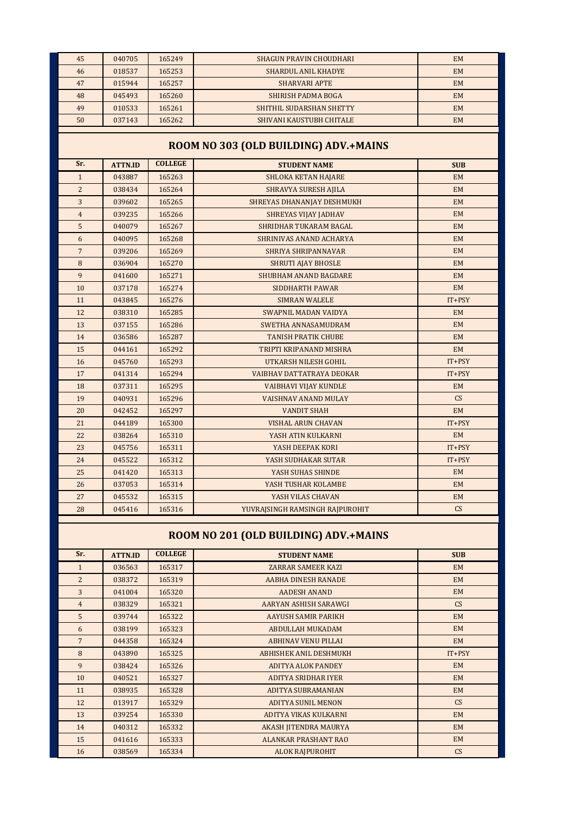| 45             | 040705                                | 165249         | <b>SHAGUN PRAVIN CHOUDHARI</b>    | <b>EM</b>  |  |  |  |
|----------------|---------------------------------------|----------------|-----------------------------------|------------|--|--|--|
| 46             | 018537                                | 165253         | <b>SHARDUL ANIL KHADYE</b>        | <b>EM</b>  |  |  |  |
| 47             | 015944                                | 165257         | <b>SHARVARI APTE</b>              | <b>EM</b>  |  |  |  |
| 48             | 045493                                | 165260         | <b>SHIRISH PADMA BOGA</b>         | <b>EM</b>  |  |  |  |
| 49             | 010533                                | 165261         | SHITHIL SUDARSHAN SHETTY          | <b>EM</b>  |  |  |  |
| 50             | 037143                                | 165262         | SHIVANI KAUSTUBH CHITALE          | <b>EM</b>  |  |  |  |
|                |                                       |                |                                   |            |  |  |  |
|                | ROOM NO 303 (OLD BUILDING) ADV.+MAINS |                |                                   |            |  |  |  |
| Sr.            | <b>ATTN.ID</b>                        | <b>COLLEGE</b> | <b>STUDENT NAME</b>               | <b>SUB</b> |  |  |  |
| $\mathbf{1}$   | 043887                                | 165263         | <b>SHLOKA KETAN HAJARE</b>        | <b>EM</b>  |  |  |  |
| $\overline{2}$ | 038434                                | 165264         | SHRAVYA SURESH AJILA              | <b>EM</b>  |  |  |  |
| 3              | 039602                                | 165265         | <b>SHREYAS DHANANJAY DESHMUKH</b> | <b>EM</b>  |  |  |  |
| $\overline{4}$ | 039235                                | 165266         | <b>SHREYAS VIJAY JADHAV</b>       | <b>EM</b>  |  |  |  |
| 5              | 040079                                | 165267         | SHRIDHAR TUKARAM BAGAL            | <b>EM</b>  |  |  |  |
| 6              | 040095                                | 165268         | SHRINIVAS ANAND ACHARYA           | <b>EM</b>  |  |  |  |
| $\overline{7}$ | 039206                                | 165269         | <b>SHRIYA SHRIPANNAVAR</b>        | <b>EM</b>  |  |  |  |
| 8              | 036904                                | 165270         | SHRUTI AJAY BHOSLE                | <b>EM</b>  |  |  |  |
| 9              | 041600                                | 165271         | <b>SHUBHAM ANAND BAGDARE</b>      | <b>EM</b>  |  |  |  |
| 10             | 037178                                | 165274         | <b>SIDDHARTH PAWAR</b>            | <b>EM</b>  |  |  |  |
| 11             | 043845                                | 165276         | <b>SIMRAN WALELE</b>              | IT+PSY     |  |  |  |
| 12             | 038310                                | 165285         | SWAPNIL MADAN VAIDYA              | <b>EM</b>  |  |  |  |
| 13             | 037155                                | 165286         | SWETHA ANNASAMUDRAM               | <b>EM</b>  |  |  |  |
| 14             | 036586                                | 165287         | <b>TANISH PRATIK CHUBE</b>        | <b>EM</b>  |  |  |  |
| 15             | 044161                                | 165292         | TRIPTI KRIPANAND MISHRA           | <b>EM</b>  |  |  |  |
| 16             | 045760                                | 165293         | UTKARSH NILESH GOHIL              | $IT+PSY$   |  |  |  |
| 17             | 041314                                | 165294         | VAIBHAV DATTATRAYA DEOKAR         | IT+PSY     |  |  |  |
| 18             | 037311                                | 165295         | <b>VAIBHAVI VIJAY KUNDLE</b>      | <b>EM</b>  |  |  |  |
| 19             | 040931                                | 165296         | VAISHNAV ANAND MULAY              | CS         |  |  |  |
| 20             | 042452                                | 165297         | <b>VANDIT SHAH</b>                | <b>EM</b>  |  |  |  |
| 21             | 044189                                | 165300         | <b>VISHAL ARUN CHAVAN</b>         | IT+PSY     |  |  |  |
| 22             | 038264                                | 165310         | YASH ATIN KULKARNI                | <b>EM</b>  |  |  |  |
| 23             | 045756                                | 165311         | YASH DEEPAK KORI                  | IT+PSY     |  |  |  |
| 24             | 045522                                | 165312         | YASH SUDHAKAR SUTAR               | IT+PSY     |  |  |  |
| 25             | 041420                                | 165313         | YASH SUHAS SHINDE                 | <b>EM</b>  |  |  |  |
| 26             | 037053                                | 165314         | YASH TUSHAR KOLAMBE               | <b>EM</b>  |  |  |  |
| 27             | 045532                                | 165315         | YASH VILAS CHAVAN                 | <b>EM</b>  |  |  |  |
| 28             | 045416                                | 165316         | YUVRAJSINGH RAMSINGH RAJPUROHIT   | CS         |  |  |  |
|                |                                       |                |                                   |            |  |  |  |

# **ROOM NO 201 (OLD BUILDING) ADV.+MAINS**

| Sr.             | <b>ATTN.ID</b> | <b>COLLEGE</b> | <b>STUDENT NAME</b>         | <b>SUB</b> |
|-----------------|----------------|----------------|-----------------------------|------------|
| $\mathbf{1}$    | 036563         | 165317         | <b>ZARRAR SAMEER KAZI</b>   | <b>EM</b>  |
| $\overline{2}$  | 038372         | 165319         | <b>AABHA DINESH RANADE</b>  | <b>EM</b>  |
| 3               | 041004         | 165320         | <b>AADESH ANAND</b>         | <b>EM</b>  |
| $\overline{4}$  | 038329         | 165321         | AARYAN ASHISH SARAWGI       | CS         |
| 5               | 039744         | 165322         | AAYUSH SAMIR PARIKH         | <b>EM</b>  |
| 6               | 038199         | 165323         | ABDULLAH MUKADAM            | <b>EM</b>  |
| $7\overline{ }$ | 044358         | 165324         | <b>ABHINAV VENU PILLAI</b>  | <b>EM</b>  |
| 8               | 043890         | 165325         | ABHISHEK ANIL DESHMUKH      | $IT+PSY$   |
| 9               | 038424         | 165326         | <b>ADITYA ALOK PANDEY</b>   | <b>EM</b>  |
| 10              | 040521         | 165327         | ADITYA SRIDHAR IYER         | <b>EM</b>  |
| 11              | 038935         | 165328         | ADITYA SUBRAMANIAN          | <b>EM</b>  |
| 12              | 013917         | 165329         | <b>ADITYA SUNIL MENON</b>   | CS         |
| 13              | 039254         | 165330         | ADITYA VIKAS KULKARNI       | <b>EM</b>  |
| 14              | 040312         | 165332         | AKASH JITENDRA MAURYA       | <b>EM</b>  |
| 15              | 041616         | 165333         | <b>ALANKAR PRASHANT RAO</b> | <b>EM</b>  |
| 16              | 038569         | 165334         | <b>ALOK RAJPUROHIT</b>      | CS         |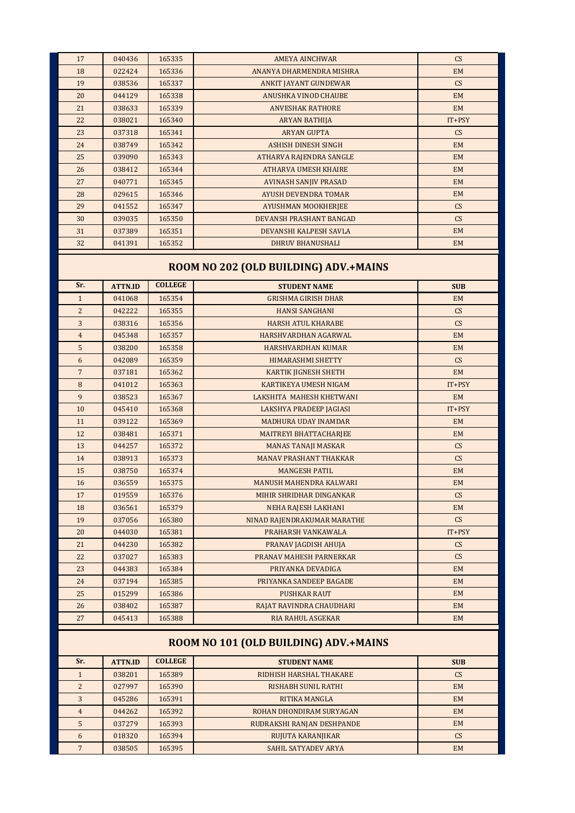| 17             | 040436         | 165335         | <b>AMEYA AINCHWAR</b>                 | CS                       |
|----------------|----------------|----------------|---------------------------------------|--------------------------|
| 18             | 022424         | 165336         | ANANYA DHARMENDRA MISHRA              | <b>EM</b>                |
| 19             | 038536         | 165337         | ANKIT JAYANT GUNDEWAR                 | CS                       |
| 20             | 044129         | 165338         | ANUSHKA VINOD CHAUBE                  | <b>EM</b>                |
| 21             | 038633         | 165339         | <b>ANVESHAK RATHORE</b>               | <b>EM</b>                |
| 22             | 038021         | 165340         | ARYAN BATHIJA                         | IT+PSY                   |
| 23             | 037318         | 165341         | <b>ARYAN GUPTA</b>                    | <b>CS</b>                |
| 24             | 038749         | 165342         | <b>ASHISH DINESH SINGH</b>            | <b>EM</b>                |
| 25             | 039090         | 165343         | ATHARVA RAJENDRA SANGLE               | <b>EM</b>                |
| 26             | 038412         | 165344         | <b>ATHARVA UMESH KHAIRE</b>           | <b>EM</b>                |
| 27             | 040771         | 165345         | <b>AVINASH SANJIV PRASAD</b>          | <b>EM</b>                |
| 28             | 029615         | 165346         | <b>AYUSH DEVENDRA TOMAR</b>           | <b>EM</b>                |
| 29             | 041552         | 165347         | AYUSHMAN MOOKHERJEE                   | CS                       |
| 30             | 039035         | 165350         | DEVANSH PRASHANT BANGAD               | CS                       |
| 31             | 037389         | 165351         | DEVANSHI KALPESH SAVLA                | <b>EM</b>                |
| 32             | 041391         | 165352         | <b>DHRUV BHANUSHALI</b>               | EM                       |
|                |                |                | ROOM NO 202 (OLD BUILDING) ADV.+MAINS |                          |
| Sr.            |                | <b>COLLEGE</b> |                                       |                          |
|                | <b>ATTN.ID</b> |                | <b>STUDENT NAME</b>                   | <b>SUB</b>               |
| $\mathbf{1}$   | 041068         | 165354         | <b>GRISHMA GIRISH DHAR</b>            | <b>EM</b>                |
| $\overline{2}$ | 042222         | 165355         | <b>HANSI SANGHANI</b>                 | CS                       |
| 3              | 038316         | 165356         | <b>HARSH ATUL KHARABE</b>             | CS                       |
| $\overline{4}$ | 045348         | 165357         | HARSHVARDHAN AGARWAL                  | <b>EM</b>                |
| 5              | 038200         | 165358         | HARSHVARDHAN KUMAR                    | <b>EM</b>                |
| 6              | 042089         | 165359         | <b>HIMARASHMI SHETTY</b>              | CS                       |
| $\overline{7}$ | 037181         | 165362         | <b>KARTIK JIGNESH SHETH</b>           | <b>EM</b>                |
| 8              | 041012         | 165363         | KARTIKEYA UMESH NIGAM                 | $IT+PSY$                 |
| 9              | 038523         | 165367         | LAKSHITA MAHESH KHETWANI              | <b>EM</b>                |
| 10             | 045410         | 165368         | LAKSHYA PRADEEP JAGIASI               | $IT+PSY$                 |
| 11             | 039122         | 165369         | MADHURA UDAY INAMDAR                  | <b>EM</b>                |
| 12             | 038481         | 165371         | <b>MAITREYI BHATTACHARJEE</b>         | <b>EM</b>                |
| 13             | 044257         | 165372         | <b>MANAS TANAJI MASKAR</b>            | $\mathsf{CS}\phantom{0}$ |
| 14             | 038913         | 165373         | <b>MANAV PRASHANT THAKKAR</b>         | CS                       |
| 15             | 038750         | 165374         | <b>MANGESH PATIL</b>                  | <b>EM</b>                |
| 16             | 036559         | 165375         | MANUSH MAHENDRA KALWARI               | EM                       |
| 17             | 019559         | 165376         | MIHIR SHRIDHAR DINGANKAR              | CS                       |
| 18             | 036561         | 165379         | NEHA RAJESH LAKHANI                   | EM                       |
| 19             | 037056         | 165380         | NINAD RAJENDRAKUMAR MARATHE           | CS                       |
| 20             | 044030         | 165381         | PRAHARSH VANKAWALA                    | IT+PSY                   |
| 21             | 044230         | 165382         | PRANAV JAGDISH AHUJA                  | CS                       |
| 22             | 037027         | 165383         | PRANAV MAHESH PARNERKAR               | CS                       |
| 23             | 044383         | 165384         | PRIYANKA DEVADIGA                     | <b>EM</b>                |
| 24             | 037194         | 165385         | PRIYANKA SANDEEP BAGADE               | <b>EM</b>                |
| 25             | 015299         | 165386         | <b>PUSHKAR RAUT</b>                   | EM                       |
| 26             | 038402         | 165387         | RAJAT RAVINDRA CHAUDHARI              | <b>EM</b>                |
| 27             | 045413         | 165388         | RIA RAHUL ASGEKAR                     | <b>EM</b>                |
|                |                |                | ROOM NO 101 (OLD BUILDING) ADV.+MAINS |                          |
| Sr.            | <b>ATTN.ID</b> | <b>COLLEGE</b> | <b>STUDENT NAME</b>                   | <b>SUR</b>               |

| Sr. | <b>ATTN.ID</b> | <b>COLLEGE</b> | <b>STUDENT NAME</b>        | <b>SUB</b> |
|-----|----------------|----------------|----------------------------|------------|
|     | 038201         | 165389         | RIDHISH HARSHAL THAKARE    | CS         |
|     | 027997         | 165390         | RISHABH SUNIL RATHI        | <b>EM</b>  |
|     | 045286         | 165391         | RITIKA MANGLA              | <b>EM</b>  |
|     | 044262         | 165392         | ROHAN DHONDIRAM SURYAGAN   | <b>EM</b>  |
|     | 037279         | 165393         | RUDRAKSHI RANJAN DESHPANDE | <b>EM</b>  |
| 6   | 018320         | 165394         | RUJUTA KARANJIKAR          | CS         |
|     | 038505         | 165395         | SAHIL SATYADEV ARYA        | <b>EM</b>  |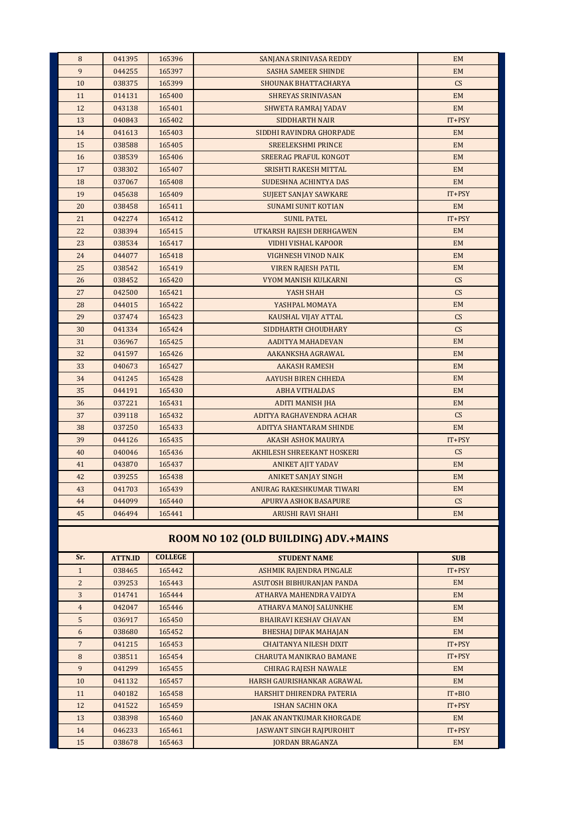| 8  | 041395 | 165396 | SANJANA SRINIVASA REDDY      | <b>EM</b>       |
|----|--------|--------|------------------------------|-----------------|
| 9  | 044255 | 165397 | <b>SASHA SAMEER SHINDE</b>   | <b>EM</b>       |
| 10 | 038375 | 165399 | <b>SHOUNAK BHATTACHARYA</b>  | CS              |
| 11 | 014131 | 165400 | <b>SHREYAS SRINIVASAN</b>    | <b>EM</b>       |
| 12 | 043138 | 165401 | <b>SHWETA RAMRAJ YADAV</b>   | <b>EM</b>       |
| 13 | 040843 | 165402 | <b>SIDDHARTH NAIR</b>        | IT+PSY          |
| 14 | 041613 | 165403 | SIDDHI RAVINDRA GHORPADE     | <b>EM</b>       |
| 15 | 038588 | 165405 | <b>SREELEKSHMI PRINCE</b>    | <b>EM</b>       |
| 16 | 038539 | 165406 | <b>SREERAG PRAFUL KONGOT</b> | <b>EM</b>       |
| 17 | 038302 | 165407 | SRISHTI RAKESH MITTAL        | <b>EM</b>       |
| 18 | 037067 | 165408 | <b>SUDESHNA ACHINTYA DAS</b> | <b>EM</b>       |
| 19 | 045638 | 165409 | <b>SUJEET SANJAY SAWKARE</b> | IT+PSY          |
| 20 | 038458 | 165411 | <b>SUNAMI SUNIT KOTIAN</b>   | <b>EM</b>       |
| 21 | 042274 | 165412 | <b>SUNIL PATEL</b>           | IT+PSY          |
| 22 | 038394 | 165415 | UTKARSH RAJESH DERHGAWEN     | EM              |
| 23 | 038534 | 165417 | VIDHI VISHAL KAPOOR          | EM              |
| 24 | 044077 | 165418 | VIGHNESH VINOD NAIK          | <b>EM</b>       |
| 25 | 038542 | 165419 | <b>VIREN RAJESH PATIL</b>    | <b>EM</b>       |
| 26 | 038452 | 165420 | <b>VYOM MANISH KULKARNI</b>  | CS              |
| 27 | 042500 | 165421 | YASH SHAH                    | $\mathsf{CS}\,$ |
| 28 | 044015 | 165422 | YASHPAL MOMAYA               | <b>EM</b>       |
| 29 | 037474 | 165423 | KAUSHAL VIJAY ATTAL          | CS              |
| 30 | 041334 | 165424 | SIDDHARTH CHOUDHARY          | CS              |
| 31 | 036967 | 165425 | AADITYA MAHADEVAN            | <b>EM</b>       |
| 32 | 041597 | 165426 | AAKANKSHA AGRAWAL            | <b>EM</b>       |
| 33 | 040673 | 165427 | <b>AAKASH RAMESH</b>         | <b>EM</b>       |
| 34 | 041245 | 165428 | <b>AAYUSH BIREN CHHEDA</b>   | <b>EM</b>       |
| 35 | 044191 | 165430 | <b>ABHA VITHALDAS</b>        | <b>EM</b>       |
| 36 | 037221 | 165431 | <b>ADITI MANISH JHA</b>      | <b>EM</b>       |
| 37 | 039118 | 165432 | ADITYA RAGHAVENDRA ACHAR     | CS              |
| 38 | 037250 | 165433 | ADITYA SHANTARAM SHINDE      | <b>EM</b>       |
| 39 | 044126 | 165435 | AKASH ASHOK MAURYA           | IT+PSY          |
| 40 | 040046 | 165436 | AKHILESH SHREEKANT HOSKERI   | CS              |
| 41 | 043870 | 165437 | <b>ANIKET AJIT YADAV</b>     | <b>EM</b>       |
| 42 | 039255 | 165438 | <b>ANIKET SANJAY SINGH</b>   | <b>EM</b>       |
| 43 | 041703 | 165439 | ANURAG RAKESHKUMAR TIWARI    | <b>EM</b>       |
| 44 | 044099 | 165440 | <b>APURVA ASHOK BASAPURE</b> | CS              |
| 45 | 046494 | 165441 | <b>ARUSHI RAVI SHAHI</b>     | <b>EM</b>       |
|    |        |        |                              |                 |

# **ROOM NO 102 (OLD BUILDING) ADV.+MAINS**

| Sr.             | <b>ATTN.ID</b> | <b>COLLEGE</b> | <b>STUDENT NAME</b>              | <b>SUB</b> |
|-----------------|----------------|----------------|----------------------------------|------------|
| $\mathbf{1}$    | 038465         | 165442         | ASHMIK RAJENDRA PINGALE          | $IT+PSY$   |
| $\overline{2}$  | 039253         | 165443         | ASUTOSH BIBHURANJAN PANDA        | <b>EM</b>  |
| 3               | 014741         | 165444         | ATHARVA MAHENDRA VAIDYA          | <b>EM</b>  |
| $\overline{4}$  | 042047         | 165446         | <b>ATHARVA MANOJ SALUNKHE</b>    | <b>EM</b>  |
| 5               | 036917         | 165450         | <b>BHAIRAVI KESHAV CHAVAN</b>    | <b>EM</b>  |
| 6               | 038680         | 165452         | <b>BHESHAI DIPAK MAHAJAN</b>     | <b>EM</b>  |
| $7\overline{ }$ | 041215         | 165453         | <b>CHAITANYA NILESH DIXIT</b>    | $IT+PSY$   |
| 8               | 038511         | 165454         | <b>CHARUTA MANIKRAO BAMANE</b>   | $IT+PSY$   |
| 9               | 041299         | 165455         | <b>CHIRAG RAJESH NAWALE</b>      | <b>EM</b>  |
| 10              | 041132         | 165457         | HARSH GAURISHANKAR AGRAWAL       | <b>EM</b>  |
| 11              | 040182         | 165458         | HARSHIT DHIRENDRA PATERIA        | $IT + BIO$ |
| 12              | 041522         | 165459         | <b>ISHAN SACHIN OKA</b>          | $IT+PSY$   |
| 13              | 038398         | 165460         | <b>JANAK ANANTKUMAR KHORGADE</b> | EM         |
| 14              | 046233         | 165461         | <b>JASWANT SINGH RAIPUROHIT</b>  | $IT+PSY$   |
| 15              | 038678         | 165463         | <b>JORDAN BRAGANZA</b>           | <b>EM</b>  |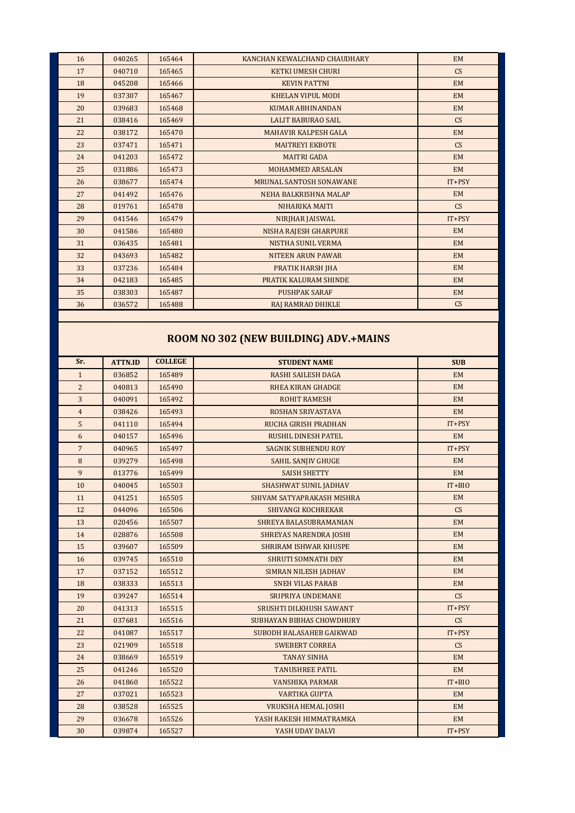| 16 | 040265 | 165464 | KANCHAN KEWALCHAND CHAUDHARY | <b>EM</b> |  |
|----|--------|--------|------------------------------|-----------|--|
| 17 | 040710 | 165465 | <b>KETKI UMESH CHURI</b>     | CS        |  |
| 18 | 045208 | 165466 | <b>KEVIN PATTNI</b>          | <b>EM</b> |  |
| 19 | 037307 | 165467 | <b>KHELAN VIPUL MODI</b>     | <b>EM</b> |  |
| 20 | 039683 | 165468 | <b>KUMAR ABHINANDAN</b>      | <b>EM</b> |  |
| 21 | 038416 | 165469 | <b>LALIT BABURAO SAIL</b>    | CS        |  |
| 22 | 038172 | 165470 | <b>MAHAVIR KALPESH GALA</b>  | <b>EM</b> |  |
| 23 | 037471 | 165471 | <b>MAITREYI EKBOTE</b>       | CS        |  |
| 24 | 041203 | 165472 | <b>MAITRI GADA</b>           | <b>EM</b> |  |
| 25 | 031886 | 165473 | MOHAMMED ARSALAN             | <b>EM</b> |  |
| 26 | 038677 | 165474 | MRUNAL SANTOSH SONAWANE      | $IT+PSY$  |  |
| 27 | 041492 | 165476 | NEHA BALKRISHNA MALAP        | <b>EM</b> |  |
| 28 | 019761 | 165478 | NIHARIKA MAITI               | CS        |  |
| 29 | 041546 | 165479 | NIRJHAR JAISWAL              | $IT+PSY$  |  |
| 30 | 041586 | 165480 | <b>NISHA RAJESH GHARPURE</b> | <b>EM</b> |  |
| 31 | 036435 | 165481 | <b>NISTHA SUNIL VERMA</b>    | <b>EM</b> |  |
| 32 | 043693 | 165482 | <b>NITEEN ARUN PAWAR</b>     | <b>EM</b> |  |
| 33 | 037236 | 165484 | PRATIK HARSH JHA             | <b>EM</b> |  |
| 34 | 042183 | 165485 | PRATIK KALURAM SHINDE        | <b>EM</b> |  |
| 35 | 038303 | 165487 | <b>PUSHPAK SARAF</b>         | <b>EM</b> |  |
| 36 | 036572 | 165488 | RAJ RAMRAO DHIKLE            | CS        |  |
|    |        |        |                              |           |  |

# **ROOM NO 302 (NEW BUILDING) ADV.+MAINS**

| Sr.              | <b>ATTN.ID</b> | <b>COLLEGE</b> | <b>STUDENT NAME</b>             | <b>SUB</b> |
|------------------|----------------|----------------|---------------------------------|------------|
| $\mathbf{1}$     | 036852         | 165489         | <b>RASHI SAILESH DAGA</b>       | EM         |
| $\overline{2}$   | 040813         | 165490         | <b>RHEA KIRAN GHADGE</b>        | <b>EM</b>  |
| 3                | 040091         | 165492         | <b>ROHIT RAMESH</b>             | EM         |
| $\overline{4}$   | 038426         | 165493         | <b>ROSHAN SRIVASTAVA</b>        | <b>EM</b>  |
| 5                | 041110         | 165494         | <b>RUCHA GIRISH PRADHAN</b>     | IT+PSY     |
| 6                | 040157         | 165496         | <b>RUSHIL DINESH PATEL</b>      | EM         |
| $\overline{7}$   | 040965         | 165497         | <b>SAGNIK SUBHENDU ROY</b>      | $IT+PSY$   |
| $\boldsymbol{8}$ | 039279         | 165498         | <b>SAHIL SANJIV GHUGE</b>       | EM         |
| 9                | 013776         | 165499         | <b>SAISH SHETTY</b>             | <b>EM</b>  |
| 10               | 040045         | 165503         | <b>SHASHWAT SUNIL JADHAV</b>    | $IT + BIO$ |
| 11               | 041251         | 165505         | SHIVAM SATYAPRAKASH MISHRA      | EM         |
| 12               | 044096         | 165506         | <b>SHIVANGI KOCHREKAR</b>       | CS         |
| 13               | 020456         | 165507         | SHREYA BALASUBRAMANIAN          | <b>EM</b>  |
| 14               | 028876         | 165508         | <b>SHREYAS NARENDRA JOSHI</b>   | <b>EM</b>  |
| 15               | 039607         | 165509         | <b>SHRIRAM ISHWAR KHUSPE</b>    | <b>EM</b>  |
| 16               | 039745         | 165510         | <b>SHRUTI SOMNATH DEY</b>       | EM         |
| 17               | 037152         | 165512         | <b>SIMRAN NILESH JADHAV</b>     | <b>EM</b>  |
| 18               | 038333         | 165513         | <b>SNEH VILAS PARAB</b>         | <b>EM</b>  |
| 19               | 039247         | 165514         | <b>SRIPRIYA UNDEMANE</b>        | CS         |
| 20               | 041313         | 165515         | SRUSHTI DILKHUSH SAWANT         | IT+PSY     |
| 21               | 037681         | 165516         | SUBHAYAN BIBHAS CHOWDHURY       | CS         |
| 22               | 041087         | 165517         | <b>SUBODH BALASAHEB GAIKWAD</b> | $IT+PSY$   |
| 23               | 021909         | 165518         | <b>SWEBERT CORREA</b>           | CS         |
| 24               | 038669         | 165519         | <b>TANAY SINHA</b>              | <b>EM</b>  |
| 25               | 041246         | 165520         | <b>TANUSHREE PATIL</b>          | <b>EM</b>  |
| 26               | 041860         | 165522         | <b>VANSHIKA PARMAR</b>          | $IT + BIO$ |
| 27               | 037021         | 165523         | <b>VARTIKA GUPTA</b>            | EM         |
| 28               | 038528         | 165525         | <b>VRUKSHA HEMAL JOSHI</b>      | <b>EM</b>  |
| 29               | 036678         | 165526         | YASH RAKESH HIMMATRAMKA         | <b>EM</b>  |
| 30               | 039874         | 165527         | YASH UDAY DALVI                 | IT+PSY     |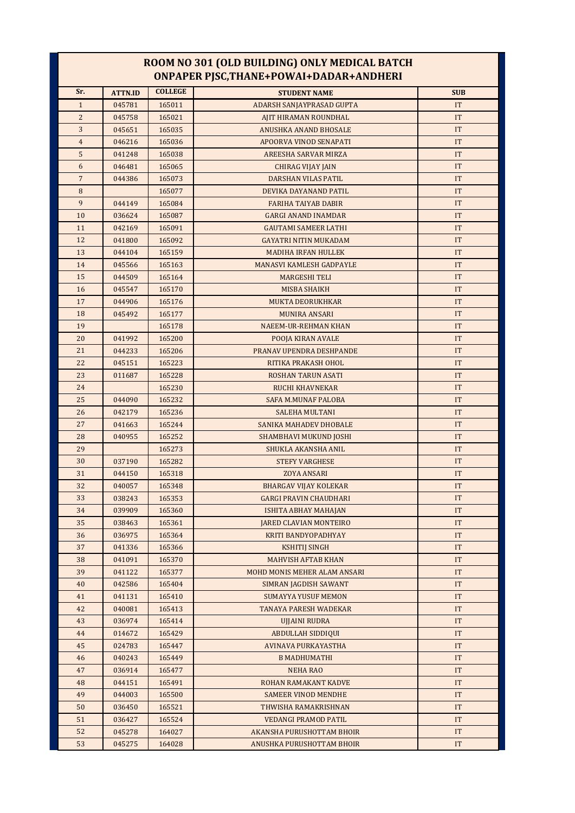### **ROOM NO 301 (OLD BUILDING) ONLY MEDICAL BATCH ONPAPER PJSC,THANE+POWAI+DADAR+ANDHERI**

| Sr.            | <b>ATTN.ID</b> | <b>COLLEGE</b> | <b>STUDENT NAME</b>             | <b>SUB</b>                 |
|----------------|----------------|----------------|---------------------------------|----------------------------|
| $\mathbf{1}$   | 045781         | 165011         | ADARSH SANJAYPRASAD GUPTA       | <b>IT</b>                  |
| $\overline{c}$ | 045758         | 165021         | AJIT HIRAMAN ROUNDHAL           | <b>IT</b>                  |
| 3              | 045651         | 165035         | ANUSHKA ANAND BHOSALE           | IT                         |
| $\overline{4}$ | 046216         | 165036         | APOORVA VINOD SENAPATI          | IT                         |
| 5              | 041248         | 165038         | AREESHA SARVAR MIRZA            | IT                         |
| 6              | 046481         | 165065         | CHIRAG VIJAY JAIN               | IT                         |
| $7\phantom{.}$ | 044386         | 165073         | <b>DARSHAN VILAS PATIL</b>      | IT                         |
| $\, 8$         |                | 165077         | DEVIKA DAYANAND PATIL           | IT                         |
| 9              | 044149         | 165084         | <b>FARIHA TAIYAB DABIR</b>      | IT                         |
| 10             | 036624         | 165087         | <b>GARGI ANAND INAMDAR</b>      | IT                         |
| 11             | 042169         | 165091         | <b>GAUTAMI SAMEER LATHI</b>     | IT                         |
| 12             | 041800         | 165092         | <b>GAYATRI NITIN MUKADAM</b>    | <b>IT</b>                  |
| 13             | 044104         | 165159         | <b>MADIHA IRFAN HULLEK</b>      | IT                         |
| 14             | 045566         | 165163         | <b>MANASVI KAMLESH GADPAYLE</b> | IT                         |
| 15             | 044509         | 165164         | <b>MARGESHI TELI</b>            | IT                         |
| 16             | 045547         | 165170         | MISBA SHAIKH                    | IT                         |
| 17             | 044906         | 165176         | <b>MUKTA DEORUKHKAR</b>         | IT                         |
| 18             | 045492         | 165177         | <b>MUNIRA ANSARI</b>            | IT                         |
| 19             |                | 165178         | <b>NAEEM-UR-REHMAN KHAN</b>     | IT                         |
| 20             | 041992         | 165200         | POOJA KIRAN AVALE               | IT                         |
| 21             | 044233         | 165206         | PRANAV UPENDRA DESHPANDE        | IT                         |
| 22             | 045151         | 165223         | RITIKA PRAKASH OHOL             | IT                         |
| 23             | 011687         | 165228         | ROSHAN TARUN ASATI              | IT                         |
| 24             |                | 165230         | RUCHI KHAVNEKAR                 | IT                         |
| 25             | 044090         | 165232         | SAFA M.MUNAF PALOBA             | IT                         |
| 26             | 042179         | 165236         | <b>SALEHA MULTANI</b>           | IT                         |
| 27             | 041663         | 165244         | SANIKA MAHADEV DHOBALE          | IT                         |
| 28             | 040955         | 165252         | <b>SHAMBHAVI MUKUND JOSHI</b>   | IT                         |
| 29             |                | 165273         | SHUKLA AKANSHA ANIL             | <b>IT</b>                  |
| 30             | 037190         | 165282         | <b>STEFY VARGHESE</b>           | IT                         |
| 31             | 044150         | 165318         | <b>ZOYA ANSARI</b>              | IT                         |
| 32             | 040057         | 165348         | <b>BHARGAV VIJAY KOLEKAR</b>    | IT                         |
| 33             | 038243         | 165353         | <b>GARGI PRAVIN CHAUDHARI</b>   | IT                         |
| 34             | 039909         | 165360         | ISHITA ABHAY MAHAJAN            | $\ensuremath{\mathsf{IT}}$ |
| 35             | 038463         | 165361         | <b>JARED CLAVIAN MONTEIRO</b>   | IT                         |
| 36             | 036975         | 165364         | KRITI BANDYOPADHYAY             | IT                         |
| 37             | 041336         | 165366         | <b>KSHITIJ SINGH</b>            | IT                         |
| 38             | 041091         | 165370         | <b>MAHVISH AFTAB KHAN</b>       | IT                         |
| 39             | 041122         | 165377         | MOHD MONIS MEHER ALAM ANSARI    | IT                         |
| 40             | 042586         | 165404         | SIMRAN JAGDISH SAWANT           | IT                         |
| 41             | 041131         | 165410         | <b>SUMAYYA YUSUF MEMON</b>      | IT                         |
| 42             | 040081         | 165413         | TANAYA PARESH WADEKAR           | IT                         |
| 43             | 036974         | 165414         | UJJAINI RUDRA                   | IT                         |
| 44             | 014672         | 165429         | <b>ABDULLAH SIDDIQUI</b>        | IT                         |
| 45             | 024783         | 165447         | AVINAVA PURKAYASTHA             | IT                         |
| 46             | 040243         | 165449         | <b>B MADHUMATHI</b>             | IT                         |
| 47             | 036914         | 165477         | <b>NEHA RAO</b>                 | IT                         |
| 48             | 044151         | 165491         | ROHAN RAMAKANT KADVE            | IT                         |
| 49             | 044003         | 165500         | <b>SAMEER VINOD MENDHE</b>      | IT                         |
| 50             | 036450         | 165521         | THWISHA RAMAKRISHNAN            | IT                         |
| 51             | 036427         | 165524         | VEDANGI PRAMOD PATIL            | IT                         |
| 52             | 045278         | 164027         | AKANSHA PURUSHOTTAM BHOIR       | IT                         |
| 53             | 045275         | 164028         | ANUSHKA PURUSHOTTAM BHOIR       | IT                         |
|                |                |                |                                 |                            |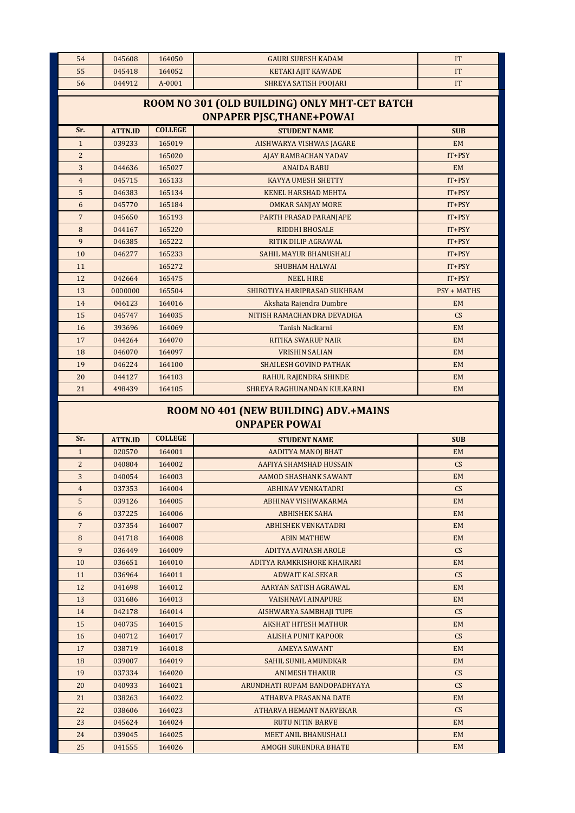| 54              | 045608                                                                | 164050 | <b>GAURI SURESH KADAM</b>        | <b>IT</b>          |  |  |  |  |
|-----------------|-----------------------------------------------------------------------|--------|----------------------------------|--------------------|--|--|--|--|
| 55              | 045418                                                                | 164052 | <b>KETAKI AJIT KAWADE</b>        | IT                 |  |  |  |  |
| 56              | 044912                                                                | A-0001 | <b>SHREYA SATISH POOJARI</b>     | IT                 |  |  |  |  |
|                 | ROOM NO 301 (OLD BUILDING) ONLY MHT-CET BATCH                         |        |                                  |                    |  |  |  |  |
|                 |                                                                       |        | <b>ONPAPER PJSC, THANE+POWAI</b> |                    |  |  |  |  |
| Sr.             | <b>COLLEGE</b><br><b>ATTN.ID</b><br><b>STUDENT NAME</b><br><b>SUB</b> |        |                                  |                    |  |  |  |  |
| $\mathbf{1}$    | 039233                                                                | 165019 | AISHWARYA VISHWAS JAGARE         | <b>EM</b>          |  |  |  |  |
| $\overline{2}$  |                                                                       | 165020 | <b>AJAY RAMBACHAN YADAV</b>      | $IT+PSY$           |  |  |  |  |
| 3               | 044636                                                                | 165027 | <b>ANAIDA BABU</b>               | <b>EM</b>          |  |  |  |  |
| $\overline{4}$  | 045715                                                                | 165133 | <b>KAVYA UMESH SHETTY</b>        | $IT+PSY$           |  |  |  |  |
| 5               | 046383                                                                | 165134 | <b>KENEL HARSHAD MEHTA</b>       | $IT+PSY$           |  |  |  |  |
| 6               | 045770                                                                | 165184 | <b>OMKAR SANJAY MORE</b>         | $IT+PSY$           |  |  |  |  |
| $7\overline{ }$ | 045650                                                                | 165193 | PARTH PRASAD PARANJAPE           | $IT+PSY$           |  |  |  |  |
| 8               | 044167                                                                | 165220 | <b>RIDDHI BHOSALE</b>            | IT+PSY             |  |  |  |  |
| 9               | 046385                                                                | 165222 | RITIK DILIP AGRAWAL              | $IT+PSY$           |  |  |  |  |
| 10              | 046277                                                                | 165233 | SAHIL MAYUR BHANUSHALI           | $IT+PSY$           |  |  |  |  |
| 11              |                                                                       | 165272 | <b>SHUBHAM HALWAI</b>            | $IT+PSY$           |  |  |  |  |
| 12              | 042664                                                                | 165475 | <b>NEEL HIRE</b>                 | $IT+PSY$           |  |  |  |  |
| 13              | 0000000                                                               | 165504 | SHIROTIYA HARIPRASAD SUKHRAM     | <b>PSY + MATHS</b> |  |  |  |  |
| 14              | 046123                                                                | 164016 | Akshata Rajendra Dumbre          | <b>EM</b>          |  |  |  |  |
| 15              | 045747                                                                | 164035 | NITISH RAMACHANDRA DEVADIGA      | CS                 |  |  |  |  |
| 16              | 393696                                                                | 164069 | Tanish Nadkarni                  | <b>EM</b>          |  |  |  |  |
| 17              | 044264                                                                | 164070 | <b>RITIKA SWARUP NAIR</b>        | <b>EM</b>          |  |  |  |  |
| 18              | 046070                                                                | 164097 | <b>VRISHIN SALIAN</b>            | <b>EM</b>          |  |  |  |  |
| 19              | 046224                                                                | 164100 | <b>SHAILESH GOVIND PATHAK</b>    | <b>EM</b>          |  |  |  |  |
| 20              | 044127                                                                | 164103 | RAHUL RAJENDRA SHINDE            | <b>EM</b>          |  |  |  |  |
| 21              | 498439                                                                | 164105 | SHREYA RAGHUNANDAN KULKARNI      | EM                 |  |  |  |  |

## **ROOM NO 401 (NEW BUILDING) ADV.+MAINS ONPAPER POWAI**

| Sr.            | <b>ATTN.ID</b> | <b>COLLEGE</b> | <b>STUDENT NAME</b>           | <b>SUB</b> |
|----------------|----------------|----------------|-------------------------------|------------|
| $\mathbf{1}$   | 020570         | 164001         | <b>AADITYA MANOJ BHAT</b>     | <b>EM</b>  |
| $\overline{c}$ | 040804         | 164002         | AAFIYA SHAMSHAD HUSSAIN       | CS         |
| 3              | 040054         | 164003         | AAMOD SHASHANK SAWANT         | <b>EM</b>  |
| $\overline{4}$ | 037353         | 164004         | <b>ABHINAV VENKATADRI</b>     | CS         |
| 5              | 039126         | 164005         | ABHINAV VISHWAKARMA           | <b>EM</b>  |
| 6              | 037225         | 164006         | <b>ABHISHEK SAHA</b>          | <b>EM</b>  |
| $\overline{7}$ | 037354         | 164007         | <b>ABHISHEK VENKATADRI</b>    | <b>EM</b>  |
| 8              | 041718         | 164008         | <b>ABIN MATHEW</b>            | <b>EM</b>  |
| 9              | 036449         | 164009         | <b>ADITYA AVINASH AROLE</b>   | CS         |
| 10             | 036651         | 164010         | ADITYA RAMKRISHORE KHAIRARI   | <b>EM</b>  |
| 11             | 036964         | 164011         | <b>ADWAIT KALSEKAR</b>        | CS         |
| 12             | 041698         | 164012         | AARYAN SATISH AGRAWAL         | <b>EM</b>  |
| 13             | 031686         | 164013         | <b>VAISHNAVI AINAPURE</b>     | <b>EM</b>  |
| 14             | 042178         | 164014         | AISHWARYA SAMBHAJI TUPE       | CS         |
| 15             | 040735         | 164015         | <b>AKSHAT HITESH MATHUR</b>   | <b>EM</b>  |
| 16             | 040712         | 164017         | <b>ALISHA PUNIT KAPOOR</b>    | CS         |
| 17             | 038719         | 164018         | <b>AMEYA SAWANT</b>           | <b>EM</b>  |
| 18             | 039007         | 164019         | <b>SAHIL SUNIL AMUNDKAR</b>   | <b>EM</b>  |
| 19             | 037334         | 164020         | <b>ANIMESH THAKUR</b>         | CS         |
| 20             | 040933         | 164021         | ARUNDHATI RUPAM BANDOPADHYAYA | CS         |
| 21             | 038263         | 164022         | <b>ATHARVA PRASANNA DATE</b>  | <b>EM</b>  |
| 22             | 038606         | 164023         | ATHARVA HEMANT NARVEKAR       | CS         |
| 23             | 045624         | 164024         | <b>RUTU NITIN BARVE</b>       | <b>EM</b>  |
| 24             | 039045         | 164025         | <b>MEET ANIL BHANUSHALI</b>   | EM         |
| 25             | 041555         | 164026         | <b>AMOGH SURENDRA BHATE</b>   | <b>EM</b>  |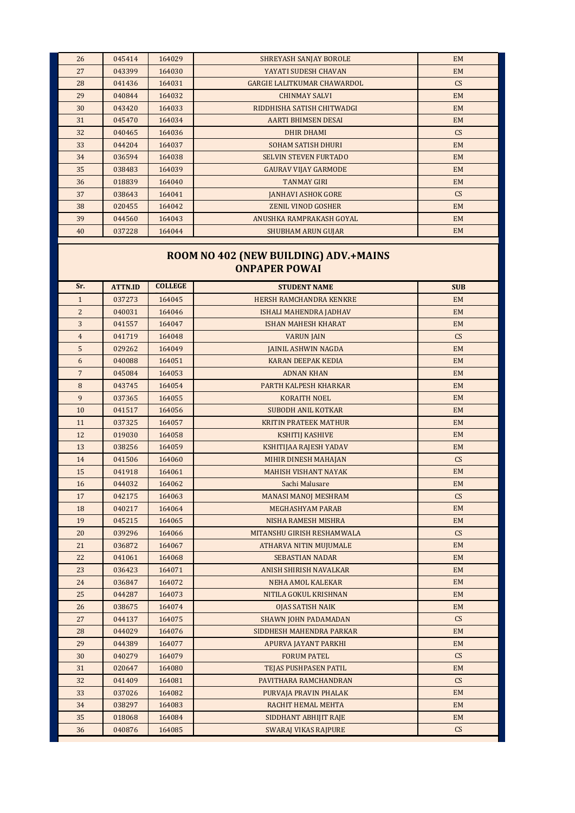| 26 | 045414 | 164029 | <b>SHREYASH SANJAY BOROLE</b>      | <b>EM</b> |
|----|--------|--------|------------------------------------|-----------|
| 27 | 043399 | 164030 | YAYATI SUDESH CHAVAN               | EM        |
| 28 | 041436 | 164031 | <b>GARGIE LALITKUMAR CHAWARDOL</b> | CS        |
| 29 | 040844 | 164032 | <b>CHINMAY SALVI</b>               | <b>EM</b> |
| 30 | 043420 | 164033 | RIDDHISHA SATISH CHITWADGI         | <b>EM</b> |
| 31 | 045470 | 164034 | <b>AARTI BHIMSEN DESAI</b>         | <b>EM</b> |
| 32 | 040465 | 164036 | <b>DHIR DHAMI</b>                  | CS        |
| 33 | 044204 | 164037 | <b>SOHAM SATISH DHURI</b>          | <b>EM</b> |
| 34 | 036594 | 164038 | <b>SELVIN STEVEN FURTADO</b>       | EM        |
| 35 | 038483 | 164039 | <b>GAURAV VIJAY GARMODE</b>        | <b>EM</b> |
| 36 | 018839 | 164040 | <b>TANMAY GIRI</b>                 | EM        |
| 37 | 038643 | 164041 | <b>JANHAVI ASHOK GORE</b>          | CS        |
| 38 | 020455 | 164042 | ZENIL VINOD GOSHER                 | EM        |
| 39 | 044560 | 164043 | ANUSHKA RAMPRAKASH GOYAL           | <b>EM</b> |
| 40 | 037228 | 164044 | <b>SHUBHAM ARUN GUJAR</b>          | EM        |

### **ROOM NO 402 (NEW BUILDING) ADV.+MAINS ONPAPER POWAI**

| Sr.            | <b>ATTN.ID</b> | <b>COLLEGE</b> | <b>STUDENT NAME</b>            | <b>SUB</b> |
|----------------|----------------|----------------|--------------------------------|------------|
| $\mathbf{1}$   | 037273         | 164045         | <b>HERSH RAMCHANDRA KENKRE</b> | <b>EM</b>  |
| $\overline{c}$ | 040031         | 164046         | ISHALI MAHENDRA JADHAV         | <b>EM</b>  |
| 3              | 041557         | 164047         | <b>ISHAN MAHESH KHARAT</b>     | <b>EM</b>  |
| $\overline{4}$ | 041719         | 164048         | <b>VARUN JAIN</b>              | CS         |
| 5              | 029262         | 164049         | <b>JAINIL ASHWIN NAGDA</b>     | <b>EM</b>  |
| 6              | 040088         | 164051         | <b>KARAN DEEPAK KEDIA</b>      | EM         |
| $\overline{7}$ | 045084         | 164053         | <b>ADNAN KHAN</b>              | <b>EM</b>  |
| 8              | 043745         | 164054         | PARTH KALPESH KHARKAR          | <b>EM</b>  |
| 9              | 037365         | 164055         | <b>KORAITH NOEL</b>            | <b>EM</b>  |
| 10             | 041517         | 164056         | <b>SUBODH ANIL KOTKAR</b>      | <b>EM</b>  |
| 11             | 037325         | 164057         | <b>KRITIN PRATEEK MATHUR</b>   | <b>EM</b>  |
| 12             | 019030         | 164058         | <b>KSHITIJ KASHIVE</b>         | <b>EM</b>  |
| 13             | 038256         | 164059         | KSHITIJAA RAJESH YADAV         | <b>EM</b>  |
| 14             | 041506         | 164060         | MIHIR DINESH MAHAJAN           | CS         |
| 15             | 041918         | 164061         | <b>MAHISH VISHANT NAYAK</b>    | <b>EM</b>  |
| 16             | 044032         | 164062         | Sachi Malusare                 | <b>EM</b>  |
| 17             | 042175         | 164063         | <b>MANASI MANOJ MESHRAM</b>    | CS         |
| 18             | 040217         | 164064         | <b>MEGHASHYAM PARAB</b>        | <b>EM</b>  |
| 19             | 045215         | 164065         | NISHA RAMESH MISHRA            | <b>EM</b>  |
| 20             | 039296         | 164066         | MITANSHU GIRISH RESHAMWALA     | CS         |
| 21             | 036872         | 164067         | <b>ATHARVA NITIN MUJUMALE</b>  | <b>EM</b>  |
| 22             | 041061         | 164068         | <b>SEBASTIAN NADAR</b>         | <b>EM</b>  |
| 23             | 036423         | 164071         | ANISH SHIRISH NAVALKAR         | <b>EM</b>  |
| 24             | 036847         | 164072         | <b>NEHA AMOL KALEKAR</b>       | <b>EM</b>  |
| 25             | 044287         | 164073         | NITILA GOKUL KRISHNAN          | <b>EM</b>  |
| 26             | 038675         | 164074         | <b>OJAS SATISH NAIK</b>        | <b>EM</b>  |
| 27             | 044137         | 164075         | <b>SHAWN JOHN PADAMADAN</b>    | CS         |
| 28             | 044029         | 164076         | SIDDHESH MAHENDRA PARKAR       | <b>EM</b>  |
| 29             | 044389         | 164077         | APURVA JAYANT PARKHI           | <b>EM</b>  |
| 30             | 040279         | 164079         | <b>FORUM PATEL</b>             | CS         |
| 31             | 020647         | 164080         | <b>TEJAS PUSHPASEN PATIL</b>   | <b>EM</b>  |
| 32             | 041409         | 164081         | PAVITHARA RAMCHANDRAN          | CS         |
| 33             | 037026         | 164082         | PURVAJA PRAVIN PHALAK          | <b>EM</b>  |
| 34             | 038297         | 164083         | RACHIT HEMAL MEHTA             | <b>EM</b>  |
| 35             | 018068         | 164084         | SIDDHANT ABHIJIT RAJE          | <b>EM</b>  |
| 36             | 040876         | 164085         | <b>SWARAJ VIKAS RAJPURE</b>    | CS         |